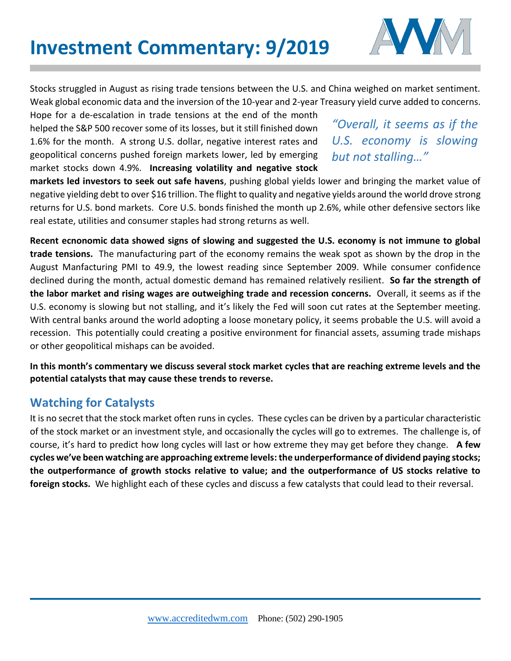

Stocks struggled in August as rising trade tensions between the U.S. and China weighed on market sentiment. Weak global economic data and the inversion of the 10-year and 2-year Treasury yield curve added to concerns.

Hope for a de-escalation in trade tensions at the end of the month helped the S&P 500 recover some of its losses, but it still finished down 1.6% for the month. A strong U.S. dollar, negative interest rates and geopolitical concerns pushed foreign markets lower, led by emerging market stocks down 4.9%. **Increasing volatility and negative stock** 

## *"Overall, it seems as if the U.S. economy is slowing but not stalling…"*

**markets led investors to seek out safe havens**, pushing global yields lower and bringing the market value of negative yielding debt to over \$16 trillion. The flight to quality and negative yields around the world drove strong returns for U.S. bond markets. Core U.S. bonds finished the month up 2.6%, while other defensive sectors like real estate, utilities and consumer staples had strong returns as well.

**Recent ecnonomic data showed signs of slowing and suggested the U.S. economy is not immune to global trade tensions.** The manufacturing part of the economy remains the weak spot as shown by the drop in the August Manfacturing PMI to 49.9, the lowest reading since September 2009. While consumer confidence declined during the month, actual domestic demand has remained relatively resilient. **So far the strength of the labor market and rising wages are outweighing trade and recession concerns.** Overall, it seems as if the U.S. economy is slowing but not stalling, and it's likely the Fed will soon cut rates at the September meeting. With central banks around the world adopting a loose monetary policy, it seems probable the U.S. will avoid a recession. This potentially could creating a positive environment for financial assets, assuming trade mishaps or other geopolitical mishaps can be avoided.

**In this month's commentary we discuss several stock market cycles that are reaching extreme levels and the potential catalysts that may cause these trends to reverse.** 

## **Watching for Catalysts**

It is no secret that the stock market often runs in cycles. These cycles can be driven by a particular characteristic of the stock market or an investment style, and occasionally the cycles will go to extremes. The challenge is, of course, it's hard to predict how long cycles will last or how extreme they may get before they change. **A few cycles we've been watching are approaching extreme levels: the underperformance of dividend paying stocks; the outperformance of growth stocks relative to value; and the outperformance of US stocks relative to foreign stocks.** We highlight each of these cycles and discuss a few catalysts that could lead to their reversal.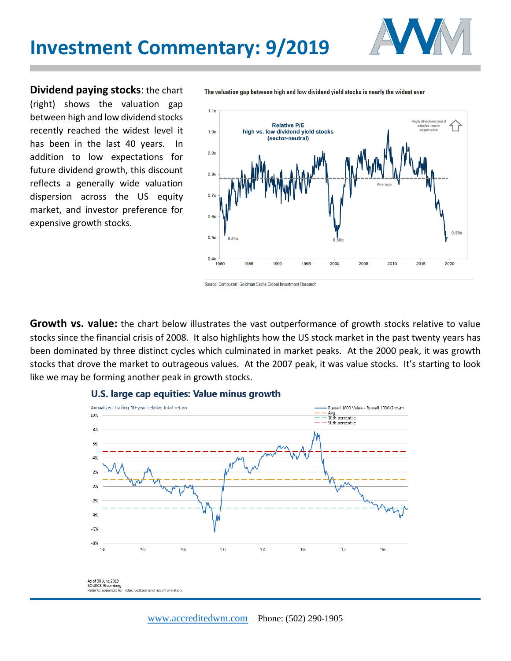

**Dividend paying stocks**: the chart (right) shows the valuation gap between high and low dividend stocks recently reached the widest level it has been in the last 40 years. In addition to low expectations for future dividend growth, this discount reflects a generally wide valuation dispersion across the US equity market, and investor preference for expensive growth stocks.

The valuation gap between high and low dividend yield stocks is nearly the widest ever



Source: Compustat, Goldman Sachs Global Investment Research

**Growth vs. value:** the chart below illustrates the vast outperformance of growth stocks relative to value stocks since the financial crisis of 2008. It also highlights how the US stock market in the past twenty years has been dominated by three distinct cycles which culminated in market peaks. At the 2000 peak, it was growth stocks that drove the market to outrageous values. At the 2007 peak, it was value stocks. It's starting to look like we may be forming another peak in growth stocks.